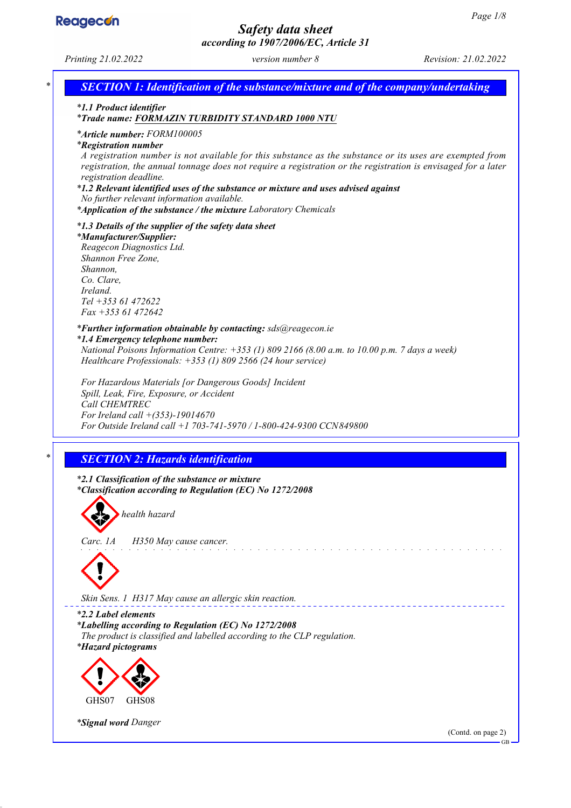

## *Safety data sheet according to 1907/2006/EC, Article 31*



*\* Signal word Danger*

(Contd. on page 2)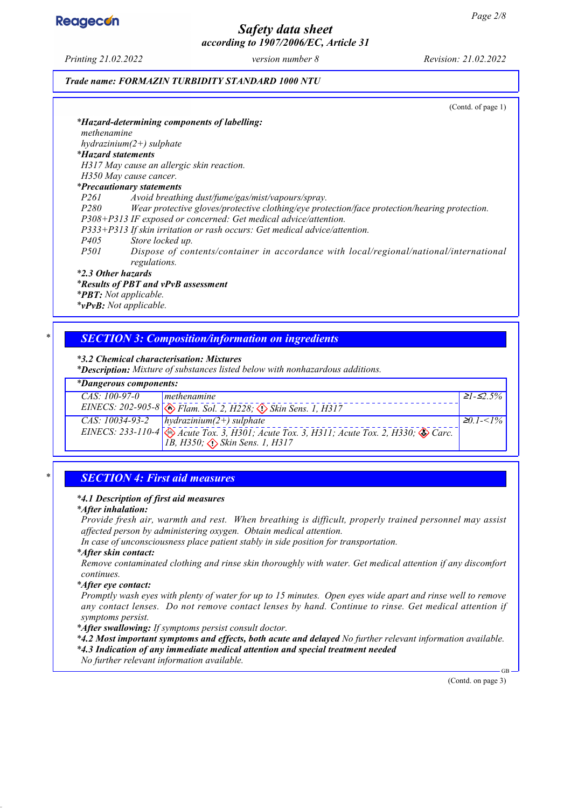## *Safety data sheet according to 1907/2006/EC, Article 31*

*Trade name: FORMAZIN TURBIDITY STANDARD 1000 NTU*

|                           | (Contd. of page 1)                                                                            |
|---------------------------|-----------------------------------------------------------------------------------------------|
|                           | *Hazard-determining components of labelling:                                                  |
| methenamine               |                                                                                               |
|                           | $hydrazinium(2+) sulphate$                                                                    |
| <i>*Hazard statements</i> |                                                                                               |
|                           | H317 May cause an allergic skin reaction.                                                     |
|                           | H350 May cause cancer.                                                                        |
|                           | <i>*Precautionary statements</i>                                                              |
| P261                      | Avoid breathing dust/fume/gas/mist/vapours/spray.                                             |
| <i>P280</i>               | Wear protective gloves/protective clothing/eye protection/face protection/hearing protection. |
|                           | P308+P313 IF exposed or concerned: Get medical advice/attention.                              |
|                           | P333+P313 If skin irritation or rash occurs: Get medical advice/attention.                    |
| <i>P405</i>               | Store locked up.                                                                              |
| <i>P501</i>               | Dispose of contents/container in accordance with local/regional/national/international        |
|                           | regulations.                                                                                  |
| *2.3 Other hazards        |                                                                                               |
|                           | *Results of PBT and vPvB assessment                                                           |
|                           | <b>*PBT:</b> Not applicable.                                                                  |
|                           | *vPvB: Not applicable.                                                                        |

## *\* SECTION 3: Composition/information on ingredients*

### *\* 3.2 Chemical characterisation: Mixtures*

*\* Description: Mixture of substances listed below with nonhazardous additions.*

### *\* Dangerous components:*

| Dungerous components. |                                                                                                                                                                  |                 |  |  |  |  |
|-----------------------|------------------------------------------------------------------------------------------------------------------------------------------------------------------|-----------------|--|--|--|--|
| $CAS: 100-97-0$       | Imethenamine                                                                                                                                                     | $ 21 - 52.5\% $ |  |  |  |  |
|                       | EINECS: 202-905-8 3 Flam. Sol. 2, H228; 3 Skin Sens. 1, H317                                                                                                     |                 |  |  |  |  |
|                       | CAS: $10034-93-2$   hydrazinium(2+) sulphate                                                                                                                     | $ 20.1 - 1\% $  |  |  |  |  |
|                       | EINECS: 233-110-4 $\otimes$ Acute Tox. 3, H301; Acute Tox. 3, H311; Acute Tox. 2, H330; $\otimes$ Carc.<br>[1B, H350; $\langle \cdot \rangle$ Skin Sens. 1, H317 |                 |  |  |  |  |

### *\* SECTION 4: First aid measures*

### *\* 4.1 Description of first aid measures*

### *\* After inhalation:*

*Provide fresh air, warmth and rest. When breathing is difficult, properly trained personnel may assist affected person by administering oxygen. Obtain medical attention.*

*In case of unconsciousness place patient stably in side position for transportation.*

#### *\* After skin contact:*

*Remove contaminated clothing and rinse skin thoroughly with water. Get medical attention if any discomfort continues.*

#### *\* After eye contact:*

*Promptly wash eyes with plenty of water for up to 15 minutes. Open eyes wide apart and rinse well to remove any contact lenses. Do not remove contact lenses by hand. Continue to rinse. Get medical attention if symptoms persist.*

*\* After swallowing: If symptoms persist consult doctor.*

*\* 4.2 Most important symptoms and effects, both acute and delayed No further relevant information available.*

*\* 4.3 Indication of any immediate medical attention and special treatment needed*

*No further relevant information available.*

(Contd. on page 3)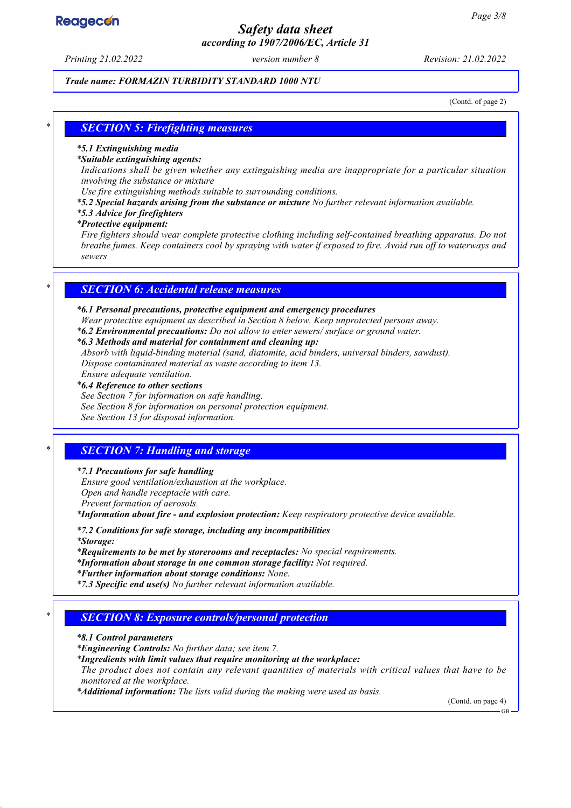## *Safety data sheet according to 1907/2006/EC, Article 31*

*Printing 21.02.2022 version number 8 Revision: 21.02.2022*

### *Trade name: FORMAZIN TURBIDITY STANDARD 1000 NTU*

(Contd. of page 2)

### *\* SECTION 5: Firefighting measures*

#### *\* 5.1 Extinguishing media*

#### *\* Suitable extinguishing agents:*

*Indications shall be given whether any extinguishing media are inappropriate for a particular situation involving the substance or mixture*

*Use fire extinguishing methods suitable to surrounding conditions.*

*\* 5.2 Special hazards arising from the substance or mixture No further relevant information available.*

### *\* 5.3 Advice for firefighters*

### *\* Protective equipment:*

*Fire fighters should wear complete protective clothing including self-contained breathing apparatus. Do not breathe fumes. Keep containers cool by spraying with water if exposed to fire. Avoid run off to waterways and sewers*

### *\* SECTION 6: Accidental release measures*

#### *\* 6.1 Personal precautions, protective equipment and emergency procedures*

*Wear protective equipment as described in Section 8 below. Keep unprotected persons away.*

*\* 6.2 Environmental precautions: Do not allow to enter sewers/ surface or ground water.*

#### *\* 6.3 Methods and material for containment and cleaning up:*

*Absorb with liquid-binding material (sand, diatomite, acid binders, universal binders, sawdust). Dispose contaminated material as waste according to item 13.*

## *Ensure adequate ventilation.*

*\* 6.4 Reference to other sections*

- *See Section 7 for information on safe handling.*
- *See Section 8 for information on personal protection equipment.*

*See Section 13 for disposal information.*

### *\* SECTION 7: Handling and storage*

#### *\* 7.1 Precautions for safe handling*

*Ensure good ventilation/exhaustion at the workplace. Open and handle receptacle with care. Prevent formation of aerosols.*

*\* Information about fire - and explosion protection: Keep respiratory protective device available.*

*\* 7.2 Conditions for safe storage, including any incompatibilities*

*\* Storage:*

*\* Requirements to be met by storerooms and receptacles: No special requirements.*

*\* Information about storage in one common storage facility: Not required.*

*\* Further information about storage conditions: None.*

*\* 7.3 Specific end use(s) No further relevant information available.*

### *\* SECTION 8: Exposure controls/personal protection*

*\* 8.1 Control parameters*

*\* Engineering Controls: No further data; see item 7.*

*\* Ingredients with limit values that require monitoring at the workplace:*

*The product does not contain any relevant quantities of materials with critical values that have to be monitored at the workplace.*

*\* Additional information: The lists valid during the making were used as basis.*

(Contd. on page 4)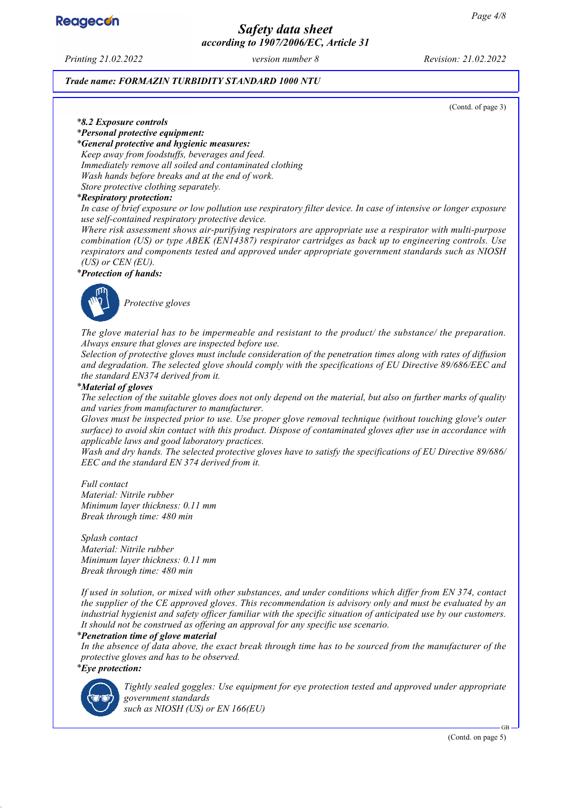

## *Safety data sheet according to 1907/2006/EC, Article 31*

*Printing 21.02.2022 version number 8 Revision: 21.02.2022*

#### *Trade name: FORMAZIN TURBIDITY STANDARD 1000 NTU*

(Contd. of page 3)

#### *\* 8.2 Exposure controls*

*\* Personal protective equipment:*

*\* General protective and hygienic measures:*

*Keep away from foodstuffs, beverages and feed. Immediately remove all soiled and contaminated clothing Wash hands before breaks and at the end of work. Store protective clothing separately.*

#### *\* Respiratory protection:*

*In case of brief exposure or low pollution use respiratory filter device. In case of intensive or longer exposure use self-contained respiratory protective device.*

*Where risk assessment shows air-purifying respirators are appropriate use a respirator with multi-purpose combination (US) or type ABEK (EN14387) respirator cartridges as back up to engineering controls. Use respirators and components tested and approved under appropriate government standards such as NIOSH (US) or CEN (EU).*

#### *\* Protection of hands:*



*Protective gloves*

*The glove material has to be impermeable and resistant to the product/ the substance/ the preparation. Always ensure that gloves are inspected before use.*

*Selection of protective gloves must include consideration of the penetration times along with rates of diffusion and degradation. The selected glove should comply with the specifications of EU Directive 89/686/EEC and the standard EN374 derived from it.*

#### *\* Material of gloves*

*The selection of the suitable gloves does not only depend on the material, but also on further marks of quality and varies from manufacturer to manufacturer.*

*Gloves must be inspected prior to use. Use proper glove removal technique (without touching glove's outer surface) to avoid skin contact with this product. Dispose of contaminated gloves after use in accordance with applicable laws and good laboratory practices.*

*Wash and dry hands. The selected protective gloves have to satisfy the specifications of EU Directive 89/686/ EEC and the standard EN 374 derived from it.*

*Full contact Material: Nitrile rubber Minimum layer thickness: 0.11 mm Break through time: 480 min*

*Splash contact Material: Nitrile rubber Minimum layer thickness: 0.11 mm Break through time: 480 min*

*If used in solution, or mixed with other substances, and under conditions which differ from EN 374, contact the supplier of the CE approved gloves. This recommendation is advisory only and must be evaluated by an industrial hygienist and safety officer familiar with the specific situation of anticipated use by our customers. It should not be construed as offering an approval for any specific use scenario.*

#### *\* Penetration time of glove material*

*In the absence of data above, the exact break through time has to be sourced from the manufacturer of the protective gloves and has to be observed. \* Eye protection:*



*Tightly sealed goggles: Use equipment for eye protection tested and approved under appropriate government standards such as NIOSH (US) or EN 166(EU)*

(Contd. on page 5)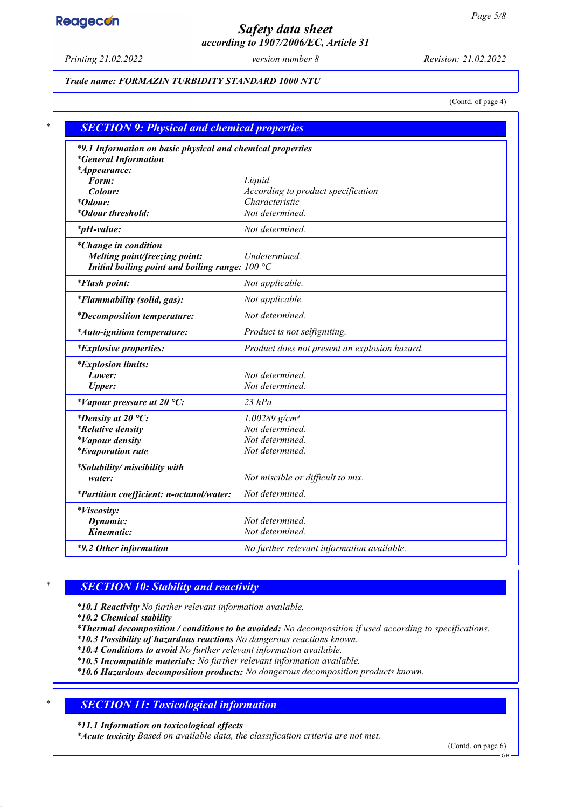## *Safety data sheet according to 1907/2006/EC, Article 31*

*Printing 21.02.2022 version number 8 Revision: 21.02.2022*

### *Trade name: FORMAZIN TURBIDITY STANDARD 1000 NTU*

(Contd. of page 4)

| *9.1 Information on basic physical and chemical properties |                                               |
|------------------------------------------------------------|-----------------------------------------------|
| <i>*General Information</i><br>*Appearance:                |                                               |
| Form:                                                      | Liquid                                        |
| Colour:                                                    | According to product specification            |
| <i>*Odour:</i>                                             | Characteristic                                |
| <i>*Odour threshold:</i>                                   | Not determined.                               |
| $*_{p}H$ -value:                                           | Not determined.                               |
| <i>*Change in condition</i>                                |                                               |
| Melting point/freezing point:                              | Undetermined.                                 |
| Initial boiling point and boiling range: $100 °C$          |                                               |
| <i>*Flash point:</i>                                       | Not applicable.                               |
| *Flammability (solid, gas):                                | Not applicable.                               |
| <i>*Decomposition temperature:</i>                         | Not determined.                               |
| *Auto-ignition temperature:                                | Product is not selfigniting.                  |
| <i>*Explosive properties:</i>                              | Product does not present an explosion hazard. |
| <i>*Explosion limits:</i>                                  |                                               |
| Lower:                                                     | Not determined.                               |
| <b>Upper:</b>                                              | Not determined.                               |
| *Vapour pressure at 20 °C:                                 | $23$ $hPa$                                    |
| *Density at 20 $^{\circ}C$ :                               | $1.00289$ g/cm <sup>3</sup>                   |
| <i>*Relative density</i>                                   | Not determined.                               |
| <i>*Vapour density</i>                                     | Not determined.                               |
| <i>*Evaporation rate</i>                                   | Not determined.                               |
| *Solubility/ miscibility with                              |                                               |
| water:                                                     | Not miscible or difficult to mix.             |
| *Partition coefficient: n-octanol/water:                   | Not determined.                               |
| <i>*Viscosity:</i>                                         |                                               |
| Dynamic:                                                   | Not determined.                               |
| Kinematic:                                                 | Not determined.                               |

## *\* SECTION 10: Stability and reactivity*

*\* 10.1 Reactivity No further relevant information available.*

*\* 10.2 Chemical stability*

*\* Thermal decomposition / conditions to be avoided: No decomposition if used according to specifications.*

*\* 10.3 Possibility of hazardous reactions No dangerous reactions known.*

*\* 10.4 Conditions to avoid No further relevant information available.*

*\* 10.5 Incompatible materials: No further relevant information available.*

*\* 10.6 Hazardous decomposition products: No dangerous decomposition products known.*

## *\* SECTION 11: Toxicological information*

*\* 11.1 Information on toxicological effects*

*\* Acute toxicity Based on available data, the classification criteria are not met.*

(Contd. on page 6)

GB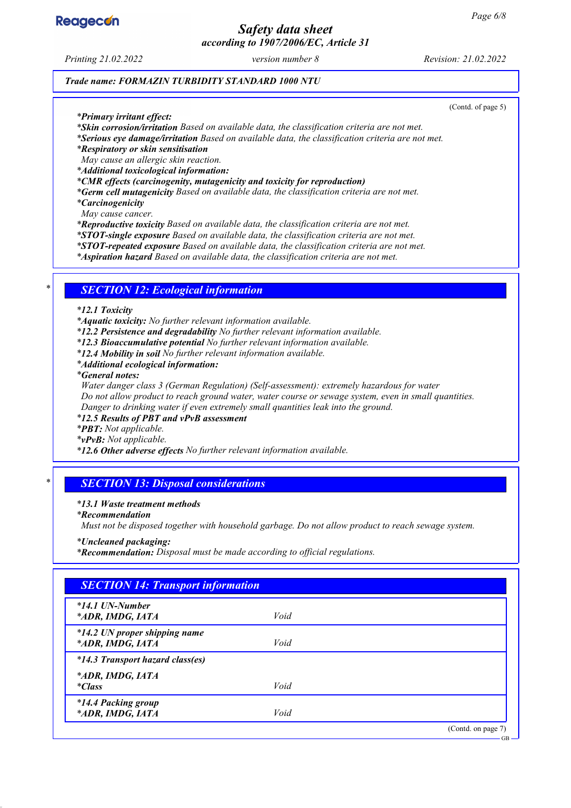

## *Safety data sheet according to 1907/2006/EC, Article 31*

*Printing 21.02.2022 version number 8 Revision: 21.02.2022*

#### *Trade name: FORMAZIN TURBIDITY STANDARD 1000 NTU*

(Contd. of page 5)

*\* Primary irritant effect:*

*\* Skin corrosion/irritation Based on available data, the classification criteria are not met.*

*\* Serious eye damage/irritation Based on available data, the classification criteria are not met.*

*\* Respiratory or skin sensitisation*

*May cause an allergic skin reaction.*

*\* Additional toxicological information:*

*\* CMR effects (carcinogenity, mutagenicity and toxicity for reproduction)*

*\* Germ cell mutagenicity Based on available data, the classification criteria are not met. \* Carcinogenicity*

*May cause cancer.*

*\* Reproductive toxicity Based on available data, the classification criteria are not met.*

*\* STOT-single exposure Based on available data, the classification criteria are not met.*

*\* STOT-repeated exposure Based on available data, the classification criteria are not met.*

*\* Aspiration hazard Based on available data, the classification criteria are not met.*

### *\* SECTION 12: Ecological information*

*\* 12.1 Toxicity*

*\* Aquatic toxicity: No further relevant information available.*

*\* 12.2 Persistence and degradability No further relevant information available.*

*\* 12.3 Bioaccumulative potential No further relevant information available.*

*\* 12.4 Mobility in soil No further relevant information available.*

*\* Additional ecological information:*

*\* General notes:*

*Water danger class 3 (German Regulation) (Self-assessment): extremely hazardous for water*

*Do not allow product to reach ground water, water course or sewage system, even in small quantities.*

*Danger to drinking water if even extremely small quantities leak into the ground.*

*\* 12.5 Results of PBT and vPvB assessment*

*\* PBT: Not applicable.*

*\* vPvB: Not applicable.*

*\* 12.6 Other adverse effects No further relevant information available.*

## *\* SECTION 13: Disposal considerations*

#### *\* 13.1 Waste treatment methods*

*\* Recommendation*

*Must not be disposed together with household garbage. Do not allow product to reach sewage system.*

*\* Uncleaned packaging:*

*\* Recommendation: Disposal must be made according to official regulations.*

## *SECTION 14: Transport information \* 14.1 UN-Number \* ADR, IMDG, IATA Void \* 14.2 UN proper shipping name \* ADR, IMDG, IATA Void \* 14.3 Transport hazard class(es) \* ADR, IMDG, IATA \* Class Void \* 14.4 Packing group \* ADR, IMDG, IATA Void* (Contd. on page 7) GB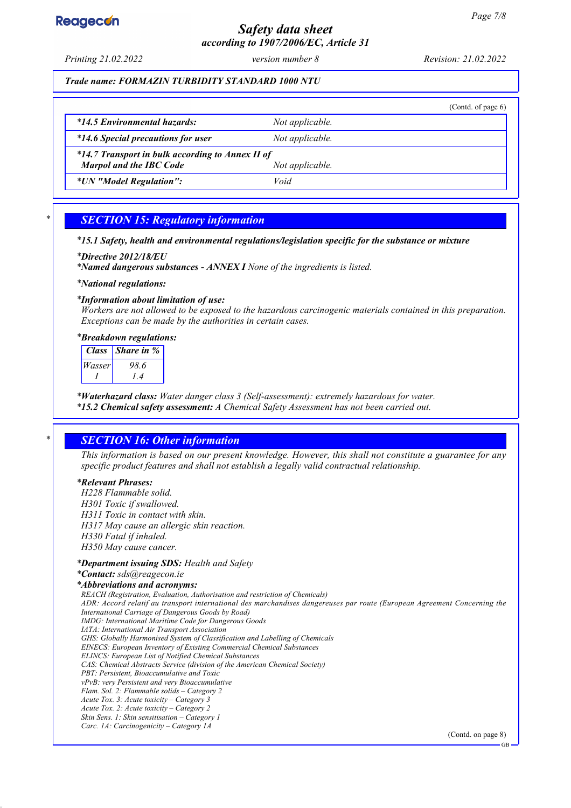## *Safety data sheet according to 1907/2006/EC, Article 31*

*Printing 21.02.2022 version number 8 Revision: 21.02.2022*

*Trade name: FORMAZIN TURBIDITY STANDARD 1000 NTU*

|                                                  |                 | (Contd. of page $6$ ) |  |  |
|--------------------------------------------------|-----------------|-----------------------|--|--|
| *14.5 Environmental hazards:                     | Not applicable. |                       |  |  |
| <i>*14.6 Special precautions for user</i>        | Not applicable. |                       |  |  |
| *14.7 Transport in bulk according to Annex II of |                 |                       |  |  |
| <b>Marpol and the IBC Code</b>                   | Not applicable. |                       |  |  |
| <i>*UN "Model Regulation":</i>                   | Void            |                       |  |  |
|                                                  |                 |                       |  |  |

## *\* SECTION 15: Regulatory information*

#### *\* 15.1 Safety, health and environmental regulations/legislation specific for the substance or mixture*

*\* Directive 2012/18/EU*

*\* Named dangerous substances - ANNEX I None of the ingredients is listed.*

*\* National regulations:*

### *\* Information about limitation of use:*

*Workers are not allowed to be exposed to the hazardous carcinogenic materials contained in this preparation. Exceptions can be made by the authorities in certain cases.*

*\* Breakdown regulations:*

| <b>Class</b> | <i>Share in %</i> |
|--------------|-------------------|
| Wasser       | 98.6              |
|              | $\sqrt{4}$        |

*\* Waterhazard class: Water danger class 3 (Self-assessment): extremely hazardous for water. \* 15.2 Chemical safety assessment: A Chemical Safety Assessment has not been carried out.*

## *\* SECTION 16: Other information*

*This information is based on our present knowledge. However, this shall not constitute a guarantee for any specific product features and shall not establish a legally valid contractual relationship.*

#### *\* Relevant Phrases:*

*H228 Flammable solid. H301 Toxic if swallowed. H311 Toxic in contact with skin. H317 May cause an allergic skin reaction. H330 Fatal if inhaled. H350 May cause cancer.*

#### *\* Department issuing SDS: Health and Safety*

*\* Contact: sds@reagecon.ie \* Abbreviations and acronyms: REACH (Registration, Evaluation, Authorisation and restriction of Chemicals) ADR: Accord relatif au transport international des marchandises dangereuses par route (European Agreement Concerning the International Carriage of Dangerous Goods by Road) IMDG: International Maritime Code for Dangerous Goods*

*IATA: International Air Transport Association GHS: Globally Harmonised System of Classification and Labelling of Chemicals EINECS: European Inventory of Existing Commercial Chemical Substances ELINCS: European List of Notified Chemical Substances CAS: Chemical Abstracts Service (division of the American Chemical Society) PBT: Persistent, Bioaccumulative and Toxic vPvB: very Persistent and very Bioaccumulative Flam. Sol. 2: Flammable solids – Category 2 Acute Tox. 3: Acute toxicity – Category 3 Acute Tox. 2: Acute toxicity – Category 2 Skin Sens. 1: Skin sensitisation – Category 1 Carc. 1A: Carcinogenicity – Category 1A*

(Contd. on page 8)

GB